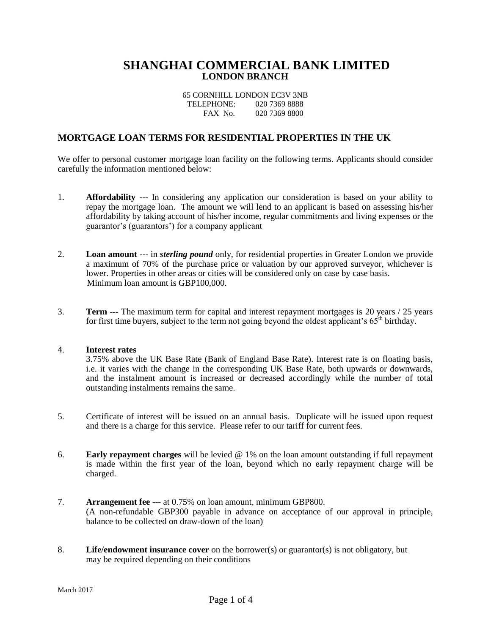# **SHANGHAI COMMERCIAL BANK LIMITED LONDON BRANCH**

| 65 CORNHILL LONDON EC3V 3NB |               |
|-----------------------------|---------------|
| TELEPHONE:                  | 020 7369 8888 |
| FAX No.                     | 020 7369 8800 |

## **MORTGAGE LOAN TERMS FOR RESIDENTIAL PROPERTIES IN THE UK**

We offer to personal customer mortgage loan facility on the following terms. Applicants should consider carefully the information mentioned below:

- 1. **Affordability** --- In considering any application our consideration is based on your ability to repay the mortgage loan. The amount we will lend to an applicant is based on assessing his/her affordability by taking account of his/her income, regular commitments and living expenses or the guarantor's (guarantors') for a company applicant
- 2. **Loan amount** --- in *sterling pound* only, for residential properties in Greater London we provide a maximum of 70% of the purchase price or valuation by our approved surveyor, whichever is lower. Properties in other areas or cities will be considered only on case by case basis. Minimum loan amount is GBP100,000.
- 3. **Term** --- The maximum term for capital and interest repayment mortgages is 20 years / 25 years for first time buyers, subject to the term not going beyond the oldest applicant's  $65<sup>th</sup>$  birthday.

#### 4. **Interest rates**

3.75% above the UK Base Rate (Bank of England Base Rate). Interest rate is on floating basis, i.e. it varies with the change in the corresponding UK Base Rate, both upwards or downwards, and the instalment amount is increased or decreased accordingly while the number of total outstanding instalments remains the same.

- 5. Certificate of interest will be issued on an annual basis. Duplicate will be issued upon request and there is a charge for this service. Please refer to our tariff for current fees.
- 6. **Early repayment charges** will be levied @ 1% on the loan amount outstanding if full repayment is made within the first year of the loan, beyond which no early repayment charge will be charged.
- 7. **Arrangement fee** --- at 0.75% on loan amount, minimum GBP800. (A non-refundable GBP300 payable in advance on acceptance of our approval in principle, balance to be collected on draw-down of the loan)
- 8. **Life/endowment insurance cover** on the borrower(s) or guarantor(s) is not obligatory, but may be required depending on their conditions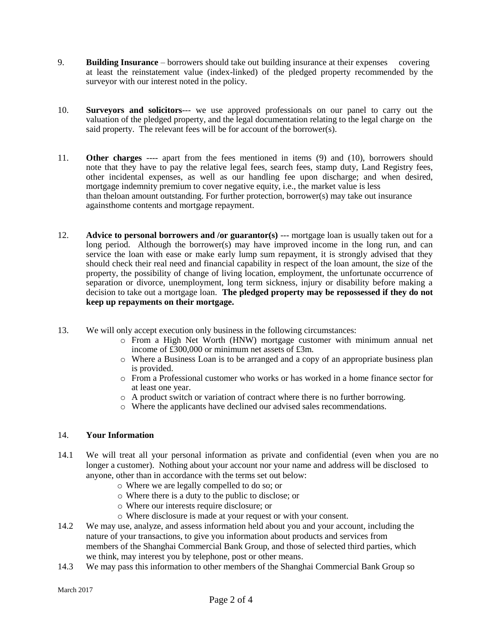- 9. **Building Insurance** borrowers should take out building insurance at their expenses covering at least the reinstatement value (index-linked) of the pledged property recommended by the surveyor with our interest noted in the policy.
- 10. **Surveyors and solicitors**--- we use approved professionals on our panel to carry out the valuation of the pledged property, and the legal documentation relating to the legal charge on the said property. The relevant fees will be for account of the borrower(s).
- 11. **Other charges** ---- apart from the fees mentioned in items (9) and (10), borrowers should note that they have to pay the relative legal fees, search fees, stamp duty, Land Registry fees, other incidental expenses, as well as our handling fee upon discharge; and when desired, mortgage indemnity premium to cover negative equity, i.e., the market value is less than theloan amount outstanding. For further protection, borrower(s) may take out insurance againsthome contents and mortgage repayment.
- 12. **Advice to personal borrowers and /or guarantor(s)** --- mortgage loan is usually taken out for a long period. Although the borrower(s) may have improved income in the long run, and can service the loan with ease or make early lump sum repayment, it is strongly advised that they should check their real need and financial capability in respect of the loan amount, the size of the property, the possibility of change of living location, employment, the unfortunate occurrence of separation or divorce, unemployment, long term sickness, injury or disability before making a decision to take out a mortgage loan. **The pledged property may be repossessed if they do not keep up repayments on their mortgage.**
- 13. We will only accept execution only business in the following circumstances:
	- o From a High Net Worth (HNW) mortgage customer with minimum annual net income of £300,000 or minimum net assets of £3m.
	- o Where a Business Loan is to be arranged and a copy of an appropriate business plan is provided.
	- o From a Professional customer who works or has worked in a home finance sector for at least one year.
	- o A product switch or variation of contract where there is no further borrowing.
	- o Where the applicants have declined our advised sales recommendations.

### 14. **Your Information**

- 14.1 We will treat all your personal information as private and confidential (even when you are no longer a customer). Nothing about your account nor your name and address will be disclosed to anyone, other than in accordance with the terms set out below:
	- o Where we are legally compelled to do so; or
	- o Where there is a duty to the public to disclose; or
	- o Where our interests require disclosure; or
	- o Where disclosure is made at your request or with your consent.
- 14.2 We may use, analyze, and assess information held about you and your account, including the nature of your transactions, to give you information about products and services from members of the Shanghai Commercial Bank Group, and those of selected third parties, which we think, may interest you by telephone, post or other means.
- 14.3 We may pass this information to other members of the Shanghai Commercial Bank Group so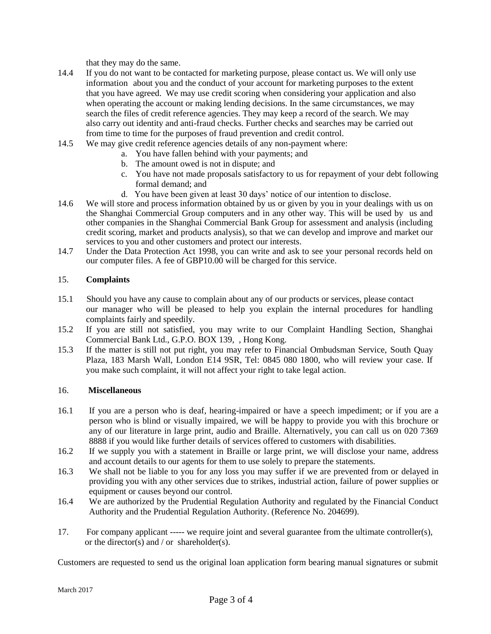that they may do the same.

- 14.4 If you do not want to be contacted for marketing purpose, please contact us. We will only use information about you and the conduct of your account for marketing purposes to the extent that you have agreed. We may use credit scoring when considering your application and also when operating the account or making lending decisions. In the same circumstances, we may search the files of credit reference agencies. They may keep a record of the search. We may also carry out identity and anti-fraud checks. Further checks and searches may be carried out from time to time for the purposes of fraud prevention and credit control.
- 14.5 We may give credit reference agencies details of any non-payment where:
	- a. You have fallen behind with your payments; and
	- b. The amount owed is not in dispute; and
	- c. You have not made proposals satisfactory to us for repayment of your debt following formal demand; and
	- d. You have been given at least 30 days' notice of our intention to disclose.
- 14.6 We will store and process information obtained by us or given by you in your dealings with us on the Shanghai Commercial Group computers and in any other way. This will be used by us and other companies in the Shanghai Commercial Bank Group for assessment and analysis (including credit scoring, market and products analysis), so that we can develop and improve and market our services to you and other customers and protect our interests.
- 14.7 Under the Data Protection Act 1998, you can write and ask to see your personal records held on our computer files. A fee of GBP10.00 will be charged for this service.

### 15. **Complaints**

- 15.1 Should you have any cause to complain about any of our products or services, please contact our manager who will be pleased to help you explain the internal procedures for handling complaints fairly and speedily.
- 15.2 If you are still not satisfied, you may write to our Complaint Handling Section, Shanghai Commercial Bank Ltd., G.P.O. BOX 139, , Hong Kong.
- 15.3 If the matter is still not put right, you may refer to Financial Ombudsman Service, South Quay Plaza, 183 Marsh Wall, London E14 9SR, Tel: 0845 080 1800, who will review your case. If you make such complaint, it will not affect your right to take legal action.

### 16. **Miscellaneous**

- 16.1 If you are a person who is deaf, hearing-impaired or have a speech impediment; or if you are a person who is blind or visually impaired, we will be happy to provide you with this brochure or any of our literature in large print, audio and Braille. Alternatively, you can call us on 020 7369 8888 if you would like further details of services offered to customers with disabilities.
- 16.2 If we supply you with a statement in Braille or large print, we will disclose your name, address and account details to our agents for them to use solely to prepare the statements.
- 16.3 We shall not be liable to you for any loss you may suffer if we are prevented from or delayed in providing you with any other services due to strikes, industrial action, failure of power supplies or equipment or causes beyond our control.
- 16.4 We are authorized by the Prudential Regulation Authority and regulated by the Financial Conduct Authority and the Prudential Regulation Authority. (Reference No. 204699).
- 17. For company applicant ----- we require joint and several guarantee from the ultimate controller(s), or the director(s) and / or shareholder(s).

Customers are requested to send us the original loan application form bearing manual signatures or submit